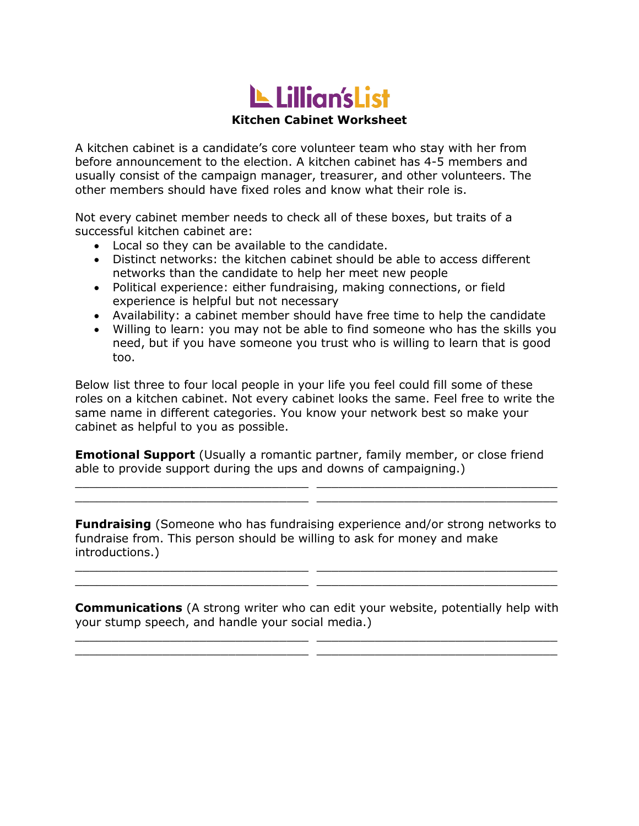# LL Lillian's List

#### **Kitchen Cabinet Worksheet**

A kitchen cabinet is a candidate's core volunteer team who stay with her from before announcement to the election. A kitchen cabinet has 4-5 members and usually consist of the campaign manager, treasurer, and other volunteers. The other members should have fixed roles and know what their role is.

Not every cabinet member needs to check all of these boxes, but traits of a successful kitchen cabinet are:

- Local so they can be available to the candidate.
- Distinct networks: the kitchen cabinet should be able to access different networks than the candidate to help her meet new people
- Political experience: either fundraising, making connections, or field experience is helpful but not necessary
- Availability: a cabinet member should have free time to help the candidate
- Willing to learn: you may not be able to find someone who has the skills you need, but if you have someone you trust who is willing to learn that is good too.

Below list three to four local people in your life you feel could fill some of these roles on a kitchen cabinet. Not every cabinet looks the same. Feel free to write the same name in different categories. You know your network best so make your cabinet as helpful to you as possible.

**Emotional Support** (Usually a romantic partner, family member, or close friend able to provide support during the ups and downs of campaigning.)

 $\_$  , and the set of the set of the set of the set of the set of the set of the set of the set of the set of the set of the set of the set of the set of the set of the set of the set of the set of the set of the set of th \_\_\_\_\_\_\_\_\_\_\_\_\_\_\_\_\_\_\_\_\_\_\_\_\_\_\_\_\_\_\_\_ \_\_\_\_\_\_\_\_\_\_\_\_\_\_\_\_\_\_\_\_\_\_\_\_\_\_\_\_\_\_\_\_\_

**Fundraising** (Someone who has fundraising experience and/or strong networks to fundraise from. This person should be willing to ask for money and make introductions.)

\_\_\_\_\_\_\_\_\_\_\_\_\_\_\_\_\_\_\_\_\_\_\_\_\_\_\_\_\_\_\_\_ \_\_\_\_\_\_\_\_\_\_\_\_\_\_\_\_\_\_\_\_\_\_\_\_\_\_\_\_\_\_\_\_\_  $\_$  , and the set of the set of the set of the set of the set of the set of the set of the set of the set of the set of the set of the set of the set of the set of the set of the set of the set of the set of the set of th

**Communications** (A strong writer who can edit your website, potentially help with your stump speech, and handle your social media.)

 $\_$  , and the set of the set of the set of the set of the set of the set of the set of the set of the set of the set of the set of the set of the set of the set of the set of the set of the set of the set of the set of th \_\_\_\_\_\_\_\_\_\_\_\_\_\_\_\_\_\_\_\_\_\_\_\_\_\_\_\_\_\_\_\_ \_\_\_\_\_\_\_\_\_\_\_\_\_\_\_\_\_\_\_\_\_\_\_\_\_\_\_\_\_\_\_\_\_